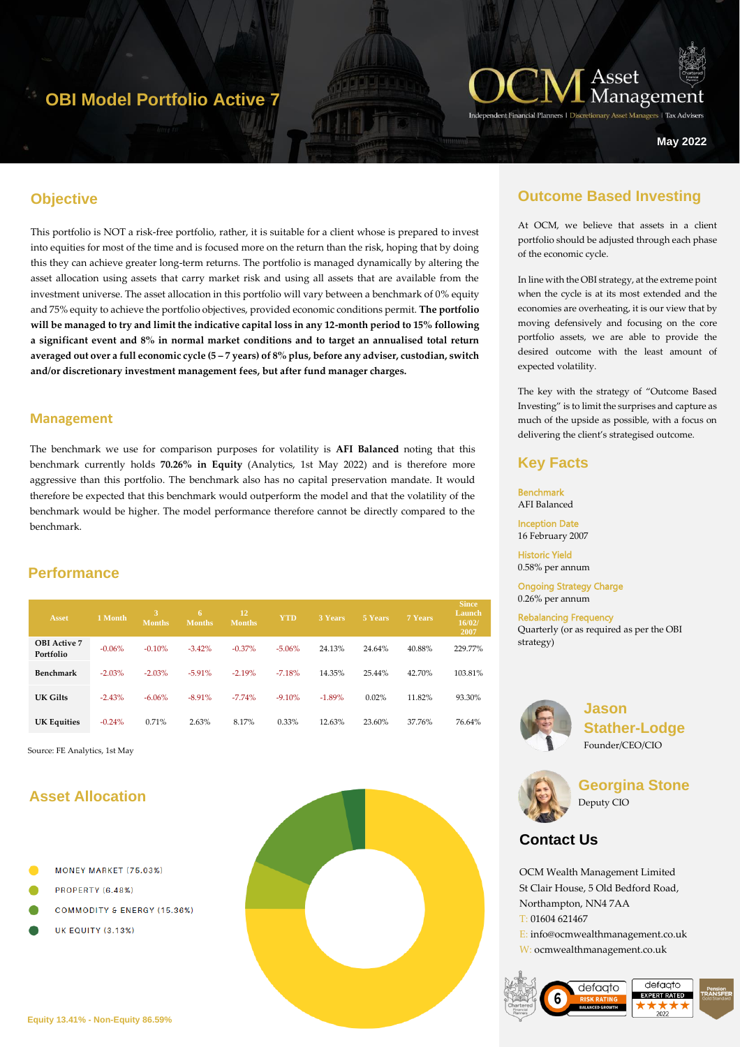## **OBI Model Portfolio Active 7**



ers | Tax Advise

**May 2022**

## **Objective**

This portfolio is NOT a risk-free portfolio, rather, it is suitable for a client whose is prepared to invest into equities for most of the time and is focused more on the return than the risk, hoping that by doing this they can achieve greater long-term returns. The portfolio is managed dynamically by altering the asset allocation using assets that carry market risk and using all assets that are available from the investment universe. The asset allocation in this portfolio will vary between a benchmark of 0% equity and 75% equity to achieve the portfolio objectives, provided economic conditions permit. **The portfolio will be managed to try and limit the indicative capital loss in any 12-month period to 15% following a significant event and 8% in normal market conditions and to target an annualised total return averaged out over a full economic cycle (5 – 7 years) of 8% plus, before any adviser, custodian, switch and/or discretionary investment management fees, but after fund manager charges.**

#### **Management**

The benchmark we use for comparison purposes for volatility is **AFI Balanced** noting that this benchmark currently holds **70.26% in Equity** (Analytics, 1st May 2022) and is therefore more aggressive than this portfolio. The benchmark also has no capital preservation mandate. It would therefore be expected that this benchmark would outperform the model and that the volatility of the benchmark would be higher. The model performance therefore cannot be directly compared to the benchmark.

### **Performance**

| Asset                            | 1 Month  | 3<br><b>Months</b> | 6.<br><b>Months</b> | 12<br><b>Months</b> | <b>YTD</b> | 3 Years  | 5 Years | 7 Years | <b>Since</b><br>Launch<br>16/02/<br>2007 |
|----------------------------------|----------|--------------------|---------------------|---------------------|------------|----------|---------|---------|------------------------------------------|
| <b>OBI</b> Active 7<br>Portfolio | $-0.06%$ | $-0.10%$           | $-3.42%$            | $-0.37\%$           | $-5.06%$   | 24.13%   | 24.64%  | 40.88%  | 229.77%                                  |
| Benchmark                        | $-2.03%$ | $-2.03%$           | $-5.91%$            | $-2.19%$            | $-7.18%$   | 14.35%   | 25.44%  | 42.70%  | 103.81%                                  |
| UK Gilts                         | $-2.43%$ | $-6.06\%$          | $-8.91%$            | $-7.74%$            | $-9.10%$   | $-1.89%$ | 0.02%   | 11.82%  | 93.30%                                   |
| <b>UK Equities</b>               | $-0.24%$ | 0.71%              | 2.63%               | 8.17%               | 0.33%      | 12.63%   | 23.60%  | 37.76%  | 76.64%                                   |

Source: FE Analytics, 1st May

## **Asset Allocation**

- MONEY MARKET (75.03%)
- PROPERTY (6.48%)
- **COMMODITY & ENERGY (15.36%)**
- **UK EQUITY (3.13%)**



## **Outcome Based Investing**

At OCM, we believe that assets in a client portfolio should be adjusted through each phase of the economic cycle.

In line with the OBI strategy, at the extreme point when the cycle is at its most extended and the economies are overheating, it is our view that by moving defensively and focusing on the core portfolio assets, we are able to provide the desired outcome with the least amount of expected volatility.

The key with the strategy of "Outcome Based Investing" is to limit the surprises and capture as much of the upside as possible, with a focus on delivering the client's strategised outcome.

### **Key Facts**

Benchmark AFI Balanced Inception Date

16 February 2007

Historic Yield 0.58% per annum

Ongoing Strategy Charge 0.26% per annum

Rebalancing Frequency Quarterly (or as required as per the OBI strategy)



**Jason Stather-Lodge** Founder/CEO/CIO



**Georgina Stone** Deputy CIO

## **Contact Us**

OCM Wealth Management Limited St Clair House, 5 Old Bedford Road, Northampton, NN4 7AA T: 01604 621467 E: info@ocmwealthmanagement.co.uk W: ocmwealthmanagement.co.uk